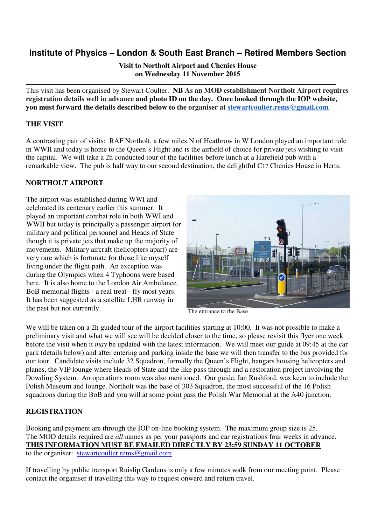# **Institute of Physics – London & South East Branch – Retired Members Section**

**Visit to Northolt Airport and Chenies House on Wednesday 11 November 2015** 

This visit has been organised by Stewart Coulter. **NB As an MOD establishment Northolt Airport requires registration details well in advance and photo ID on the day. Once booked through the IOP website, you must forward the details described below to the organiser at stewartcoulter.rems@gmail.com**

#### **THE VISIT**

A contrasting pair of visits: RAF Northolt, a few miles N of Heathrow in W London played an important role in WWII and today is home to the Queen's Flight and is the airfield of choice for private jets wishing to visit the capital. We will take a 2h conducted tour of the facilities before lunch at a Harefield pub with a remarkable view. The pub is half way to our second destination, the delightful C17 Chenies House in Herts.

### **NORTHOLT AIRPORT**

The airport was established during WWI and celebrated its centenary earlier this summer. It played an important combat role in both WWI and WWII but today is principally a passenger airport for military and political personnel and Heads of State though it is private jets that make up the majority of movements. Military aircraft (helicopters apart) are very rare which is fortunate for those like myself living under the flight path. An exception was during the Olympics when 4 Typhoons were based here. It is also home to the London Air Ambulance. BoB memorial flights - a real treat - fly most years. It has been suggested as a satellite LHR runway in the past but not currently.



The entrance to the Base

We will be taken on a 2h guided tour of the airport facilities starting at 10:00. It was not possible to make a preliminary visit and what we will see will be decided closer to the time, so please revisit this flyer one week before the visit when it *may* be updated with the latest information. We will meet our guide at 09:45 at the car park (details below) and after entering and parking inside the base we will then transfer to the bus provided for our tour. Candidate visits include 32 Squadron, formally the Queen's Flight, hangars housing helicopters and planes, the VIP lounge where Heads of State and the like pass through and a restoration project involving the Dowding System. An operations room was also mentioned. Our guide, Ian Rushford, was keen to include the Polish Museum and lounge. Northolt was the base of 303 Squadron, the most successful of the 16 Polish squadrons during the BoB and you will at some point pass the Polish War Memorial at the A40 junction.

### **REGISTRATION**

Booking and payment are through the IOP on-line booking system. The maximum group size is 25. The MOD details required are *all* names as per your passports and car registrations four weeks in advance. **THIS INFORMATION MUST BE EMAILED DIRECTLY BY 23:59 SUNDAY 11 OCTOBER**  to the organiser: stewartcoulter.rems@gmail.com

If travelling by public transport Ruislip Gardens is only a few minutes walk from our meeting point. Please contact the organiser if travelling this way to request onward and return travel.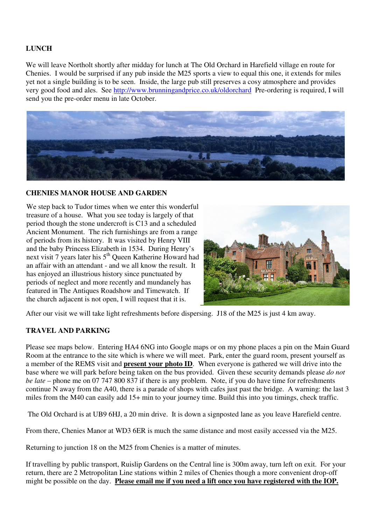## **LUNCH**

We will leave Northolt shortly after midday for lunch at The Old Orchard in Harefield village en route for Chenies. I would be surprised if any pub inside the M25 sports a view to equal this one, it extends for miles yet not a single building is to be seen. Inside, the large pub still preserves a cosy atmosphere and provides very good food and ales. See http://www.brunningandprice.co.uk/oldorchard Pre-ordering is required, I will send you the pre-order menu in late October.



#### **CHENIES MANOR HOUSE AND GARDEN**

We step back to Tudor times when we enter this wonderful treasure of a house. What you see today is largely of that period though the stone undercroft is C13 and a scheduled Ancient Monument. The rich furnishings are from a range of periods from its history. It was visited by Henry VIII and the baby Princess Elizabeth in 1534. During Henry's next visit 7 years later his 5<sup>th</sup> Queen Katherine Howard had an affair with an attendant - and we all know the result. It has enjoyed an illustrious history since punctuated by periods of neglect and more recently and mundanely has featured in The Antiques Roadshow and Timewatch. If the church adjacent is not open, I will request that it is.



After our visit we will take light refreshments before dispersing. J18 of the M25 is just 4 km away.

#### **TRAVEL AND PARKING**

Please see maps below. Entering HA4 6NG into Google maps or on my phone places a pin on the Main Guard Room at the entrance to the site which is where we will meet. Park, enter the guard room, present yourself as a member of the REMS visit and **present your photo ID**. When everyone is gathered we will drive into the base where we will park before being taken on the bus provided. Given these security demands please *do not be late* – phone me on 07 747 800 837 if there is any problem. Note, if you do have time for refreshments continue N away from the A40, there is a parade of shops with cafes just past the bridge. A warning: the last 3 miles from the M40 can easily add 15+ min to your journey time. Build this into you timings, check traffic.

The Old Orchard is at UB9 6HJ, a 20 min drive. It is down a signposted lane as you leave Harefield centre.

From there, Chenies Manor at WD3 6ER is much the same distance and most easily accessed via the M25.

Returning to junction 18 on the M25 from Chenies is a matter of minutes.

If travelling by public transport, Ruislip Gardens on the Central line is 300m away, turn left on exit. For your return, there are 2 Metropolitan Line stations within 2 miles of Chenies though a more convenient drop-off might be possible on the day. **Please email me if you need a lift once you have registered with the IOP.**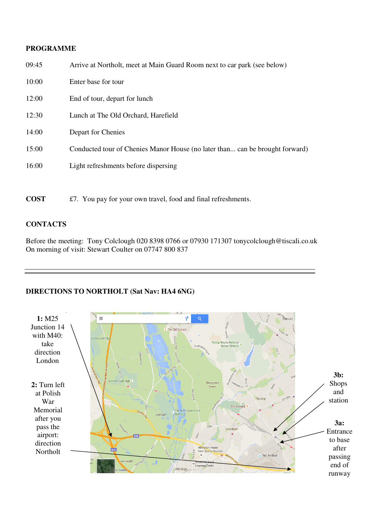#### **PROGRAMME**

| 09:45 | Arrive at Northolt, meet at Main Guard Room next to car park (see below)     |
|-------|------------------------------------------------------------------------------|
| 10:00 | Enter base for tour                                                          |
| 12:00 | End of tour, depart for lunch                                                |
| 12:30 | Lunch at The Old Orchard, Harefield                                          |
| 14:00 | Depart for Chenies                                                           |
| 15:00 | Conducted tour of Chenies Manor House (no later than can be brought forward) |
| 16:00 | Light refreshments before dispersing                                         |
|       |                                                                              |

**COST** £7. You pay for your own travel, food and final refreshments.

## **CONTACTS**

Before the meeting: Tony Colclough 020 8398 0766 or 07930 171307 tonycolclough@tiscali.co.uk On morning of visit: Stewart Coulter on 07747 800 837

#### **1:** M25  $\equiv$ Ϋ  $\alpha$ Junction 14 The Old Orchard with M40: Cross Golf Clu take slin Woods Nation Nature Res direction London **3b:** Denham Golf Club Shops Newyears<br>Green **2:** Turn left and at Polish Ruislip station War he Orchard Memorial The Bucking after you **3a:** pass the Ickenhan Entrance airport: to base direction Hillingdon Ho after **M25** Northolt Farm Sports Grounds **RAF Northolt** passing **Iver Heath** end of **DIOCATION AND** Uxbridge runway

# **DIRECTIONS TO NORTHOLT (Sat Nav: HA4 6NG)**